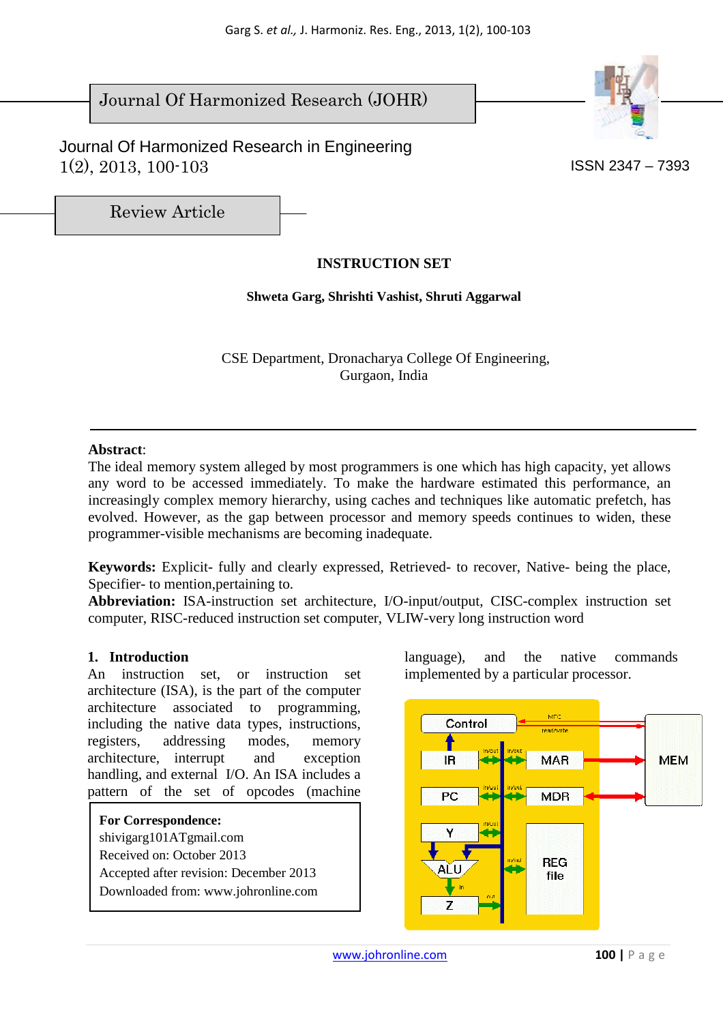# Journal Of Harmonized Research (JOHR)

 Journal Of Harmonized Research in Engineering  $1(2), 2013, 100-103$  ISSN 2347 – 7393



Review Article

# **INSTRUCTION SET**

## **Shweta Garg, Shrishti Vashist, Shruti Aggarwal**

 CSE Department, Dronacharya College Of Engineering, Gurgaon, India

#### **Abstract**:

The ideal memory system alleged by most programmers is one which has high capacity, yet allows any word to be accessed immediately. To make the hardware estimated this performance, an increasingly complex memory hierarchy, using caches and techniques like automatic prefetch, has evolved. However, as the gap between processor and memory speeds continues to widen, these programmer-visible mechanisms are becoming inadequate.

**Keywords:** Explicit- fully and clearly expressed, Retrieved- to recover, Native- being the place, Specifier- to mention,pertaining to.

**Abbreviation:** ISA-instruction set architecture, I/O-input/output, CISC-complex instruction set computer, RISC-reduced instruction set computer, VLIW-very long instruction word

## **1. Introduction**

An instruction set, or instruction set architecture (ISA), is the part of the computer architecture associated to programming, including the native data types, instructions, registers, addressing modes, memory architecture, interrupt and exception handling, and external I/O. An ISA includes a pattern of the set of opcodes (machine

**For Correspondence:**  shivigarg101ATgmail.com Received on: October 2013 Accepted after revision: December 2013 Downloaded from: www.johronline.com language), and the native commands implemented by a particular processor.

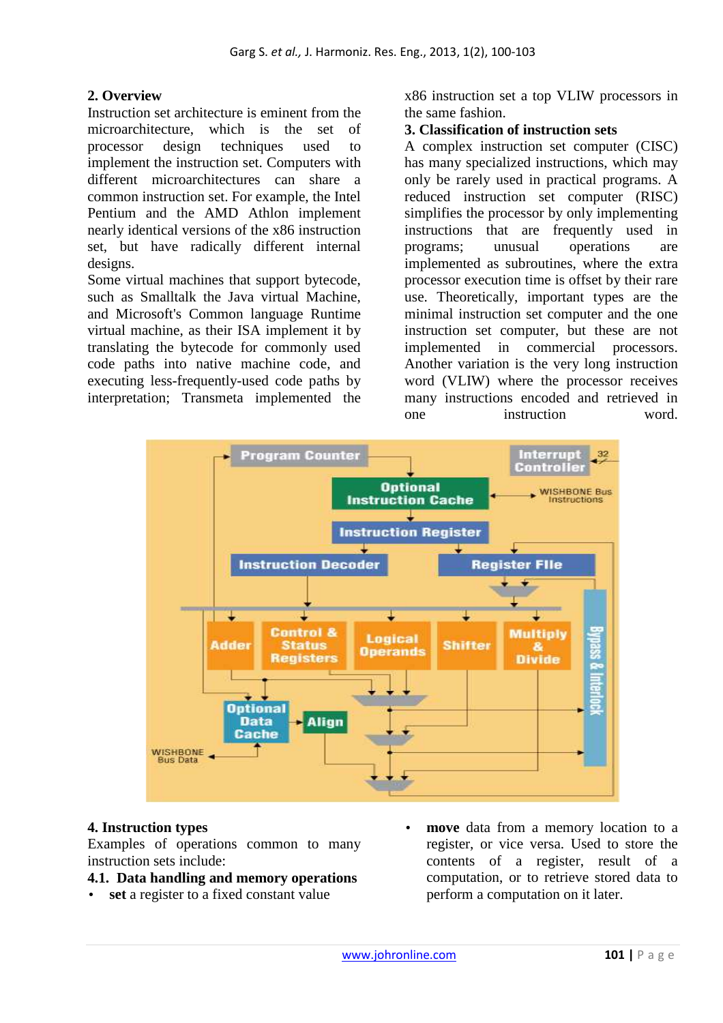# **2. Overview**

Instruction set architecture is eminent from the microarchitecture, which is the set of processor design techniques used to implement the instruction set. Computers with different microarchitectures can share a common instruction set. For example, the Intel Pentium and the AMD Athlon implement nearly identical versions of the x86 instruction set, but have radically different internal designs.

Some virtual machines that support bytecode, such as Smalltalk the Java virtual Machine, and Microsoft's Common language Runtime virtual machine, as their ISA implement it by translating the bytecode for commonly used code paths into native machine code, and executing less-frequently-used code paths by interpretation; Transmeta implemented the x86 instruction set a top VLIW processors in the same fashion.

#### **3. Classification of instruction sets**

A complex instruction set computer (CISC) has many specialized instructions, which may only be rarely used in practical programs. A reduced instruction set computer (RISC) simplifies the processor by only implementing instructions that are frequently used in programs; unusual operations are implemented as subroutines, where the extra processor execution time is offset by their rare use. Theoretically, important types are the minimal instruction set computer and the one instruction set computer, but these are not implemented in commercial processors. Another variation is the very long instruction word (VLIW) where the processor receives many instructions encoded and retrieved in one instruction word.



## **4. Instruction types**

Examples of operations common to many instruction sets include:

#### **4.1. Data handling and memory operations**

- **set** a register to a fixed constant value
- **move** data from a memory location to a register, or vice versa. Used to store the contents of a register, result of a computation, or to retrieve stored data to perform a computation on it later.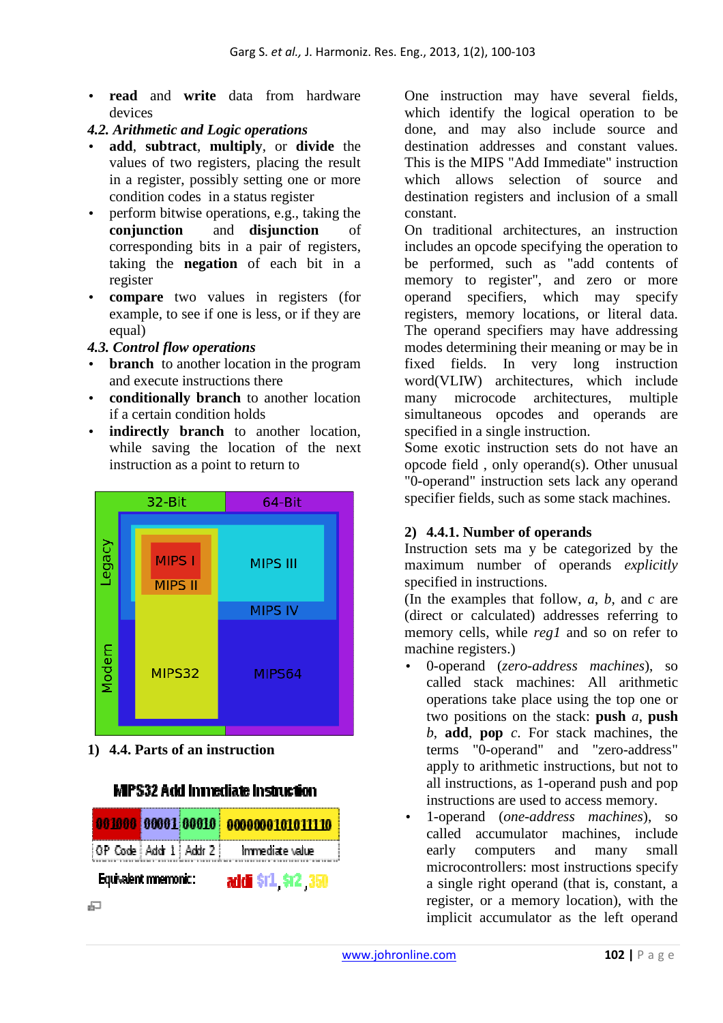• **read** and **write** data from hardware devices

## *4.2. Arithmetic and Logic operations*

- **add**, **subtract**, **multiply**, or **divide** the values of two registers, placing the result in a register, possibly setting one or more condition codes in a status register
- perform bitwise operations, e.g., taking the **conjunction** and **disjunction** of corresponding bits in a pair of registers, taking the **negation** of each bit in a register
- **compare** two values in registers (for example, to see if one is less, or if they are equal)

## *4.3. Control flow operations*

- **branch** to another location in the program and execute instructions there
- **conditionally branch** to another location if a certain condition holds
- **indirectly branch** to another location, while saving the location of the next instruction as a point to return to

![](_page_2_Figure_10.jpeg)

**1) 4.4. Parts of an instruction** 

# **MPS32 Add Immediate Instruction**

![](_page_2_Figure_13.jpeg)

One instruction may have several fields, which identify the logical operation to be done, and may also include source and destination addresses and constant values. This is the MIPS "Add Immediate" instruction which allows selection of source and destination registers and inclusion of a small constant.

On traditional architectures, an instruction includes an opcode specifying the operation to be performed, such as "add contents of memory to register", and zero or more operand specifiers, which may specify registers, memory locations, or literal data. The operand specifiers may have addressing modes determining their meaning or may be in fixed fields. In very long instruction word(VLIW) architectures, which include many microcode architectures, multiple simultaneous opcodes and operands are specified in a single instruction.

Some exotic instruction sets do not have an opcode field , only operand(s). Other unusual "0-operand" instruction sets lack any operand specifier fields, such as some stack machines.

# **2) 4.4.1. Number of operands**

Instruction sets ma y be categorized by the maximum number of operands *explicitly* specified in instructions.

(In the examples that follow, *a*, *b*, and *c* are (direct or calculated) addresses referring to memory cells, while *reg1* and so on refer to machine registers.)

- 0-operand (*zero-address machines*), so called stack machines: All arithmetic operations take place using the top one or two positions on the stack: **push** *a*, **push** *b*, **add**, **pop** *c*. For stack machines, the terms "0-operand" and "zero-address" apply to arithmetic instructions, but not to all instructions, as 1-operand push and pop instructions are used to access memory.
- 1-operand (*one-address machines*), so called accumulator machines, include early computers and many small microcontrollers: most instructions specify a single right operand (that is, constant, a register, or a memory location), with the implicit accumulator as the left operand